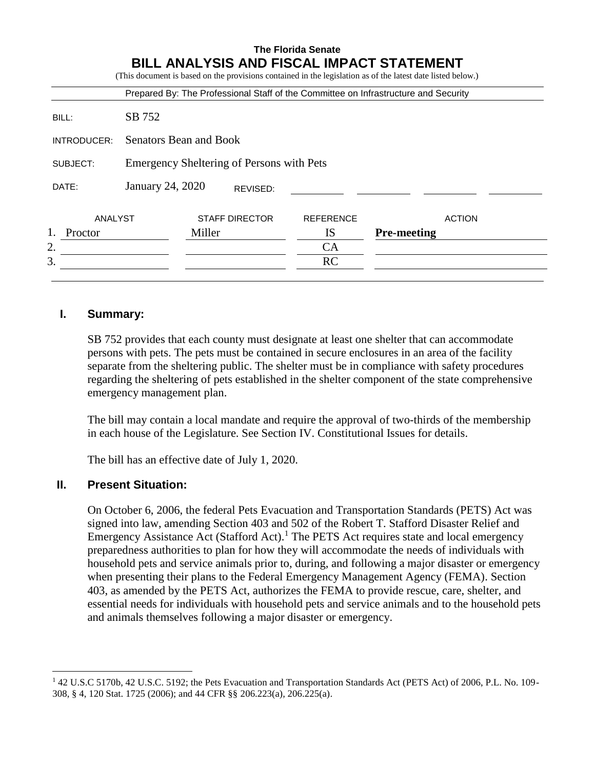|                |                                           |        |                       |                  | Prepared By: The Professional Staff of the Committee on Infrastructure and Security |
|----------------|-------------------------------------------|--------|-----------------------|------------------|-------------------------------------------------------------------------------------|
| BILL:          | SB 752                                    |        |                       |                  |                                                                                     |
| INTRODUCER:    | Senators Bean and Book                    |        |                       |                  |                                                                                     |
| SUBJECT:       | Emergency Sheltering of Persons with Pets |        |                       |                  |                                                                                     |
| DATE:          | January 24, 2020<br>REVISED:              |        |                       |                  |                                                                                     |
| ANALYST        |                                           |        | <b>STAFF DIRECTOR</b> | <b>REFERENCE</b> | <b>ACTION</b>                                                                       |
| <b>Proctor</b> |                                           | Miller |                       | <b>IS</b>        | <b>Pre-meeting</b>                                                                  |
| 2.             |                                           |        |                       | CA               |                                                                                     |
| 3.             |                                           |        |                       | RC               |                                                                                     |

### **I. Summary:**

SB 752 provides that each county must designate at least one shelter that can accommodate persons with pets. The pets must be contained in secure enclosures in an area of the facility separate from the sheltering public. The shelter must be in compliance with safety procedures regarding the sheltering of pets established in the shelter component of the state comprehensive emergency management plan.

The bill may contain a local mandate and require the approval of two-thirds of the membership in each house of the Legislature. See Section IV. Constitutional Issues for details.

The bill has an effective date of July 1, 2020.

#### **II. Present Situation:**

 $\overline{a}$ 

On October 6, 2006, the federal Pets Evacuation and Transportation Standards (PETS) Act was signed into law, amending Section 403 and 502 of the Robert T. Stafford Disaster Relief and Emergency Assistance Act (Stafford Act).<sup>1</sup> The PETS Act requires state and local emergency preparedness authorities to plan for how they will accommodate the needs of individuals with household pets and service animals prior to, during, and following a major disaster or emergency when presenting their plans to the Federal Emergency Management Agency (FEMA). Section 403, as amended by the PETS Act, authorizes the FEMA to provide rescue, care, shelter, and essential needs for individuals with household pets and service animals and to the household pets and animals themselves following a major disaster or emergency.

<sup>1</sup> 42 U.S.C 5170b, 42 U.S.C. 5192; the Pets Evacuation and Transportation Standards Act (PETS Act) of 2006, P.L. No. 109- 308, § 4, 120 Stat. 1725 (2006); and 44 CFR §§ 206.223(a), 206.225(a).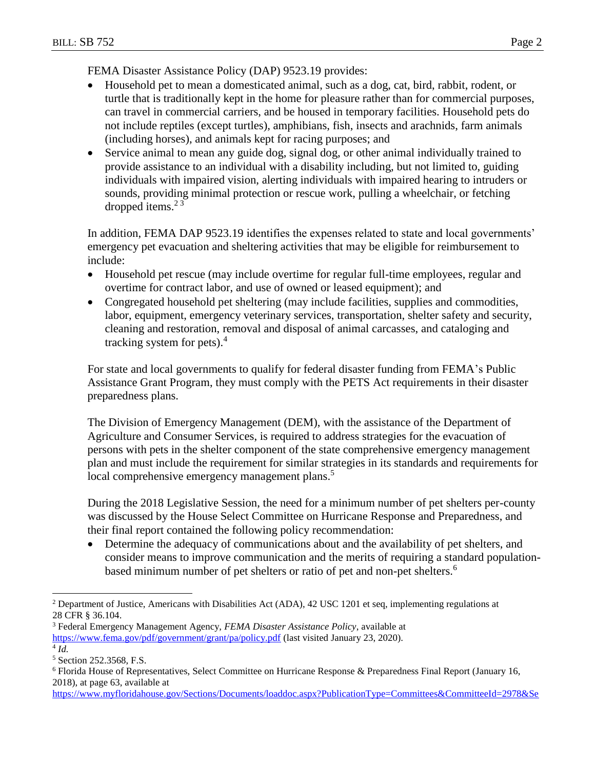FEMA Disaster Assistance Policy (DAP) 9523.19 provides:

- Household pet to mean a domesticated animal, such as a dog, cat, bird, rabbit, rodent, or turtle that is traditionally kept in the home for pleasure rather than for commercial purposes, can travel in commercial carriers, and be housed in temporary facilities. Household pets do not include reptiles (except turtles), amphibians, fish, insects and arachnids, farm animals (including horses), and animals kept for racing purposes; and
- Service animal to mean any guide dog, signal dog, or other animal individually trained to provide assistance to an individual with a disability including, but not limited to, guiding individuals with impaired vision, alerting individuals with impaired hearing to intruders or sounds, providing minimal protection or rescue work, pulling a wheelchair, or fetching dropped items. $2<sup>3</sup>$

In addition, FEMA DAP 9523.19 identifies the expenses related to state and local governments' emergency pet evacuation and sheltering activities that may be eligible for reimbursement to include:

- Household pet rescue (may include overtime for regular full-time employees, regular and overtime for contract labor, and use of owned or leased equipment); and
- Congregated household pet sheltering (may include facilities, supplies and commodities, labor, equipment, emergency veterinary services, transportation, shelter safety and security, cleaning and restoration, removal and disposal of animal carcasses, and cataloging and tracking system for pets). 4

For state and local governments to qualify for federal disaster funding from FEMA's Public Assistance Grant Program, they must comply with the PETS Act requirements in their disaster preparedness plans.

The Division of Emergency Management (DEM), with the assistance of the Department of Agriculture and Consumer Services, is required to address strategies for the evacuation of persons with pets in the shelter component of the state comprehensive emergency management plan and must include the requirement for similar strategies in its standards and requirements for local comprehensive emergency management plans.<sup>5</sup>

During the 2018 Legislative Session, the need for a minimum number of pet shelters per-county was discussed by the House Select Committee on Hurricane Response and Preparedness, and their final report contained the following policy recommendation:

 Determine the adequacy of communications about and the availability of pet shelters, and consider means to improve communication and the merits of requiring a standard populationbased minimum number of pet shelters or ratio of pet and non-pet shelters.<sup>6</sup>

[https://www.myfloridahouse.gov/Sections/Documents/loaddoc.aspx?PublicationType=Committees&CommitteeId=2978&Se](https://www.myfloridahouse.gov/Sections/Documents/loaddoc.aspx?PublicationType=Committees&CommitteeId=2978&Session=2018&DocumentType=General%20Publications&FileName=SCHRP%20-%20Final%20Report%20online.pdf)

 $\overline{a}$ <sup>2</sup> Department of Justice, Americans with Disabilities Act (ADA), 42 USC 1201 et seq, implementing regulations at 28 CFR § 36.104.

<sup>3</sup> Federal Emergency Management Agency, *FEMA Disaster Assistance Policy*, available at <https://www.fema.gov/pdf/government/grant/pa/policy.pdf> (last visited January 23, 2020).

<sup>4</sup> *Id.*

<sup>5</sup> Section 252.3568, F.S.

<sup>6</sup> Florida House of Representatives, Select Committee on Hurricane Response & Preparedness Final Report (January 16, 2018), at page 63, available at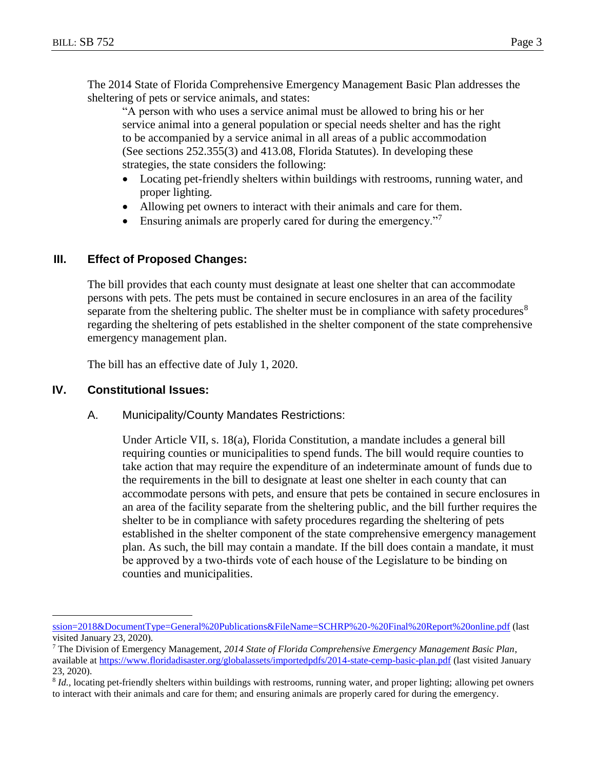The 2014 State of Florida Comprehensive Emergency Management Basic Plan addresses the sheltering of pets or service animals, and states:

"A person with who uses a service animal must be allowed to bring his or her service animal into a general population or special needs shelter and has the right to be accompanied by a service animal in all areas of a public accommodation (See sections 252.355(3) and 413.08, Florida Statutes). In developing these strategies, the state considers the following:

- Locating pet-friendly shelters within buildings with restrooms, running water, and proper lighting.
- Allowing pet owners to interact with their animals and care for them.
- Ensuring animals are properly cared for during the emergency."

### **III. Effect of Proposed Changes:**

The bill provides that each county must designate at least one shelter that can accommodate persons with pets. The pets must be contained in secure enclosures in an area of the facility separate from the sheltering public. The shelter must be in compliance with safety procedures $8$ regarding the sheltering of pets established in the shelter component of the state comprehensive emergency management plan.

The bill has an effective date of July 1, 2020.

#### **IV. Constitutional Issues:**

 $\overline{a}$ 

A. Municipality/County Mandates Restrictions:

Under Article VII, s. 18(a), Florida Constitution, a mandate includes a general bill requiring counties or municipalities to spend funds. The bill would require counties to take action that may require the expenditure of an indeterminate amount of funds due to the requirements in the bill to designate at least one shelter in each county that can accommodate persons with pets, and ensure that pets be contained in secure enclosures in an area of the facility separate from the sheltering public, and the bill further requires the shelter to be in compliance with safety procedures regarding the sheltering of pets established in the shelter component of the state comprehensive emergency management plan. As such, the bill may contain a mandate. If the bill does contain a mandate, it must be approved by a two‐thirds vote of each house of the Legislature to be binding on counties and municipalities.

[ssion=2018&DocumentType=General%20Publications&FileName=SCHRP%20-%20Final%20Report%20online.pdf](https://www.myfloridahouse.gov/Sections/Documents/loaddoc.aspx?PublicationType=Committees&CommitteeId=2978&Session=2018&DocumentType=General%20Publications&FileName=SCHRP%20-%20Final%20Report%20online.pdf) (last visited January 23, 2020).

<sup>7</sup> The Division of Emergency Management, *2014 State of Florida Comprehensive Emergency Management Basic Plan*, available at<https://www.floridadisaster.org/globalassets/importedpdfs/2014-state-cemp-basic-plan.pdf> (last visited January 23, 2020).

<sup>&</sup>lt;sup>8</sup> *Id.*, locating pet-friendly shelters within buildings with restrooms, running water, and proper lighting; allowing pet owners to interact with their animals and care for them; and ensuring animals are properly cared for during the emergency.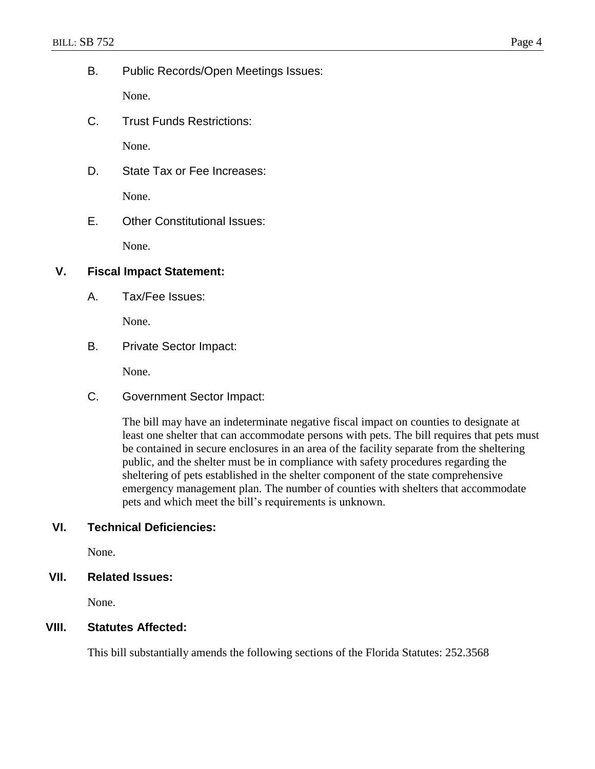B. Public Records/Open Meetings Issues:

None.

C. Trust Funds Restrictions:

None.

D. State Tax or Fee Increases:

None.

E. Other Constitutional Issues:

None.

### **V. Fiscal Impact Statement:**

A. Tax/Fee Issues:

None.

B. Private Sector Impact:

None.

C. Government Sector Impact:

The bill may have an indeterminate negative fiscal impact on counties to designate at least one shelter that can accommodate persons with pets. The bill requires that pets must be contained in secure enclosures in an area of the facility separate from the sheltering public, and the shelter must be in compliance with safety procedures regarding the sheltering of pets established in the shelter component of the state comprehensive emergency management plan. The number of counties with shelters that accommodate pets and which meet the bill's requirements is unknown.

# **VI. Technical Deficiencies:**

None.

# **VII. Related Issues:**

None.

#### **VIII. Statutes Affected:**

This bill substantially amends the following sections of the Florida Statutes: 252.3568